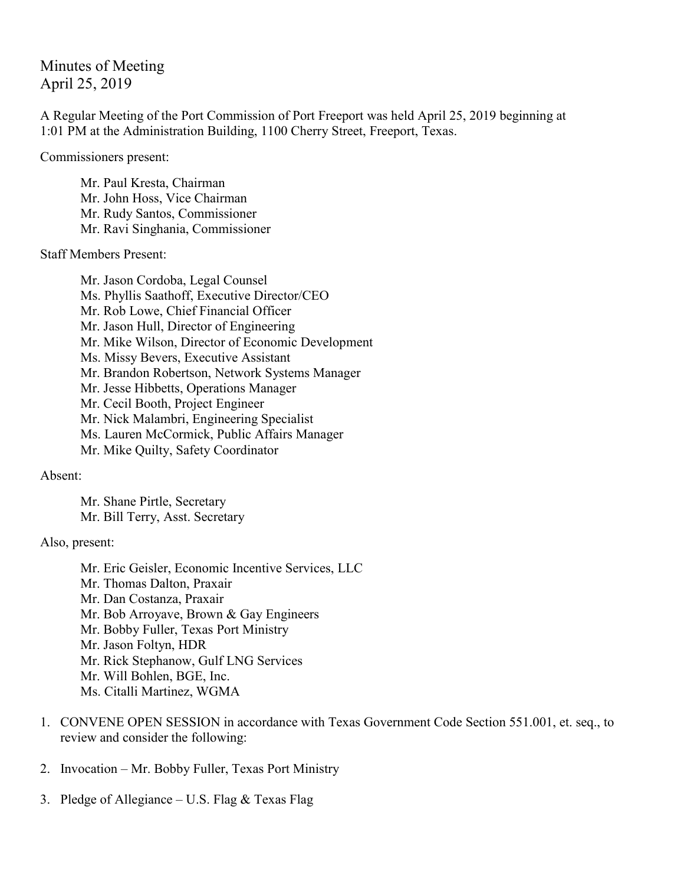# Minutes of Meeting April 25, 2019

A Regular Meeting of the Port Commission of Port Freeport was held April 25, 2019 beginning at 1:01 PM at the Administration Building, 1100 Cherry Street, Freeport, Texas.

Commissioners present:

Mr. Paul Kresta, Chairman Mr. John Hoss, Vice Chairman Mr. Rudy Santos, Commissioner Mr. Ravi Singhania, Commissioner

### Staff Members Present:

Mr. Jason Cordoba, Legal Counsel Ms. Phyllis Saathoff, Executive Director/CEO Mr. Rob Lowe, Chief Financial Officer Mr. Jason Hull, Director of Engineering Mr. Mike Wilson, Director of Economic Development Ms. Missy Bevers, Executive Assistant Mr. Brandon Robertson, Network Systems Manager Mr. Jesse Hibbetts, Operations Manager Mr. Cecil Booth, Project Engineer Mr. Nick Malambri, Engineering Specialist Ms. Lauren McCormick, Public Affairs Manager Mr. Mike Quilty, Safety Coordinator

## Absent:

Mr. Shane Pirtle, Secretary Mr. Bill Terry, Asst. Secretary

## Also, present:

Mr. Eric Geisler, Economic Incentive Services, LLC Mr. Thomas Dalton, Praxair Mr. Dan Costanza, Praxair Mr. Bob Arroyave, Brown & Gay Engineers Mr. Bobby Fuller, Texas Port Ministry Mr. Jason Foltyn, HDR Mr. Rick Stephanow, Gulf LNG Services Mr. Will Bohlen, BGE, Inc. Ms. Citalli Martinez, WGMA

- 1. CONVENE OPEN SESSION in accordance with Texas Government Code Section 551.001, et. seq., to review and consider the following:
- 2. Invocation Mr. Bobby Fuller, Texas Port Ministry
- 3. Pledge of Allegiance U.S. Flag & Texas Flag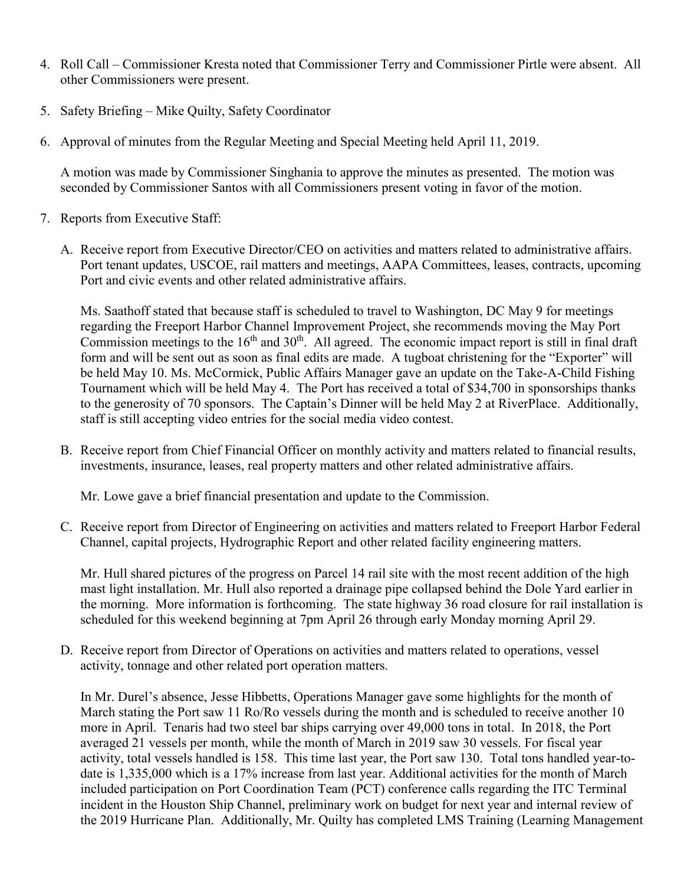- 4. Roll Call Commissioner Kresta noted that Commissioner Terry and Commissioner Pirtle were absent. All other Commissioners were present.
- 5. Safety Briefing Mike Quilty, Safety Coordinator
- 6. Approval of minutes from the Regular Meeting and Special Meeting held April 11, 2019.

A motion was made by Commissioner Singhania to approve the minutes as presented. The motion was seconded by Commissioner Santos with all Commissioners present voting in favor of the motion.

- 7. Reports from Executive Staff:
	- A. Receive report from Executive Director/CEO on activities and matters related to administrative affairs. Port tenant updates, USCOE, rail matters and meetings, AAPA Committees, leases, contracts, upcoming Port and civic events and other related administrative affairs.

Ms. Saathoff stated that because staff is scheduled to travel to Washington, DC May 9 for meetings regarding the Freeport Harbor Channel Improvement Project, she recommends moving the May Port Commission meetings to the  $16<sup>th</sup>$  and  $30<sup>th</sup>$ . All agreed. The economic impact report is still in final draft form and will be sent out as soon as final edits are made. A tugboat christening for the "Exporter" will be held May 10. Ms. McCormick, Public Affairs Manager gave an update on the Take-A-Child Fishing Tournament which will be held May 4. The Port has received a total of \$34,700 in sponsorships thanks to the generosity of 70 sponsors. The Captain's Dinner will be held May 2 at RiverPlace. Additionally, staff is still accepting video entries for the social media video contest.

B. Receive report from Chief Financial Officer on monthly activity and matters related to financial results, investments, insurance, leases, real property matters and other related administrative affairs.

Mr. Lowe gave a brief financial presentation and update to the Commission.

C. Receive report from Director of Engineering on activities and matters related to Freeport Harbor Federal Channel, capital projects, Hydrographic Report and other related facility engineering matters.

Mr. Hull shared pictures of the progress on Parcel 14 rail site with the most recent addition of the high mast light installation. Mr. Hull also reported a drainage pipe collapsed behind the Dole Yard earlier in the morning. More information is forthcoming. The state highway 36 road closure for rail installation is scheduled for this weekend beginning at 7pm April 26 through early Monday morning April 29.

D. Receive report from Director of Operations on activities and matters related to operations, vessel activity, tonnage and other related port operation matters.

In Mr. Durel's absence, Jesse Hibbetts, Operations Manager gave some highlights for the month of March stating the Port saw 11 Ro/Ro vessels during the month and is scheduled to receive another 10 more in April. Tenaris had two steel bar ships carrying over 49,000 tons in total. In 2018, the Port averaged 21 vessels per month, while the month of March in 2019 saw 30 vessels. For fiscal year activity, total vessels handled is 158. This time last year, the Port saw 130. Total tons handled year-todate is 1,335,000 which is a 17% increase from last year. Additional activities for the month of March included participation on Port Coordination Team (PCT) conference calls regarding the ITC Terminal incident in the Houston Ship Channel, preliminary work on budget for next year and internal review of the 2019 Hurricane Plan. Additionally, Mr. Quilty has completed LMS Training (Learning Management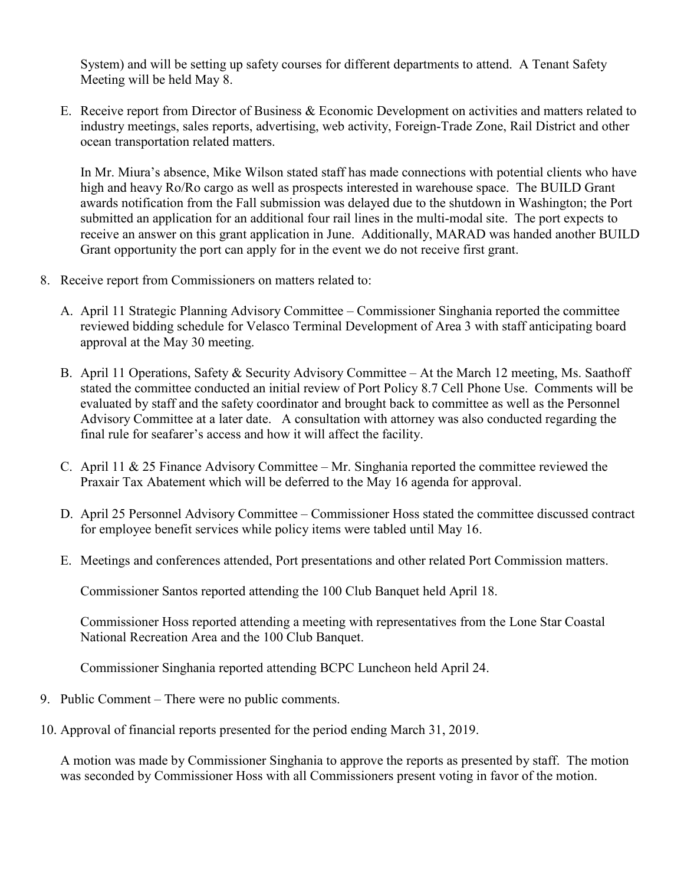System) and will be setting up safety courses for different departments to attend. A Tenant Safety Meeting will be held May 8.

E. Receive report from Director of Business & Economic Development on activities and matters related to industry meetings, sales reports, advertising, web activity, Foreign-Trade Zone, Rail District and other ocean transportation related matters.

In Mr. Miura's absence, Mike Wilson stated staff has made connections with potential clients who have high and heavy Ro/Ro cargo as well as prospects interested in warehouse space. The BUILD Grant awards notification from the Fall submission was delayed due to the shutdown in Washington; the Port submitted an application for an additional four rail lines in the multi-modal site. The port expects to receive an answer on this grant application in June. Additionally, MARAD was handed another BUILD Grant opportunity the port can apply for in the event we do not receive first grant.

- 8. Receive report from Commissioners on matters related to:
	- A. April 11 Strategic Planning Advisory Committee Commissioner Singhania reported the committee reviewed bidding schedule for Velasco Terminal Development of Area 3 with staff anticipating board approval at the May 30 meeting.
	- B. April 11 Operations, Safety & Security Advisory Committee At the March 12 meeting, Ms. Saathoff stated the committee conducted an initial review of Port Policy 8.7 Cell Phone Use. Comments will be evaluated by staff and the safety coordinator and brought back to committee as well as the Personnel Advisory Committee at a later date. A consultation with attorney was also conducted regarding the final rule for seafarer's access and how it will affect the facility.
	- C. April 11 & 25 Finance Advisory Committee Mr. Singhania reported the committee reviewed the Praxair Tax Abatement which will be deferred to the May 16 agenda for approval.
	- D. April 25 Personnel Advisory Committee Commissioner Hoss stated the committee discussed contract for employee benefit services while policy items were tabled until May 16.
	- E. Meetings and conferences attended, Port presentations and other related Port Commission matters.

Commissioner Santos reported attending the 100 Club Banquet held April 18.

Commissioner Hoss reported attending a meeting with representatives from the Lone Star Coastal National Recreation Area and the 100 Club Banquet.

Commissioner Singhania reported attending BCPC Luncheon held April 24.

- 9. Public Comment There were no public comments.
- 10. Approval of financial reports presented for the period ending March 31, 2019.

A motion was made by Commissioner Singhania to approve the reports as presented by staff. The motion was seconded by Commissioner Hoss with all Commissioners present voting in favor of the motion.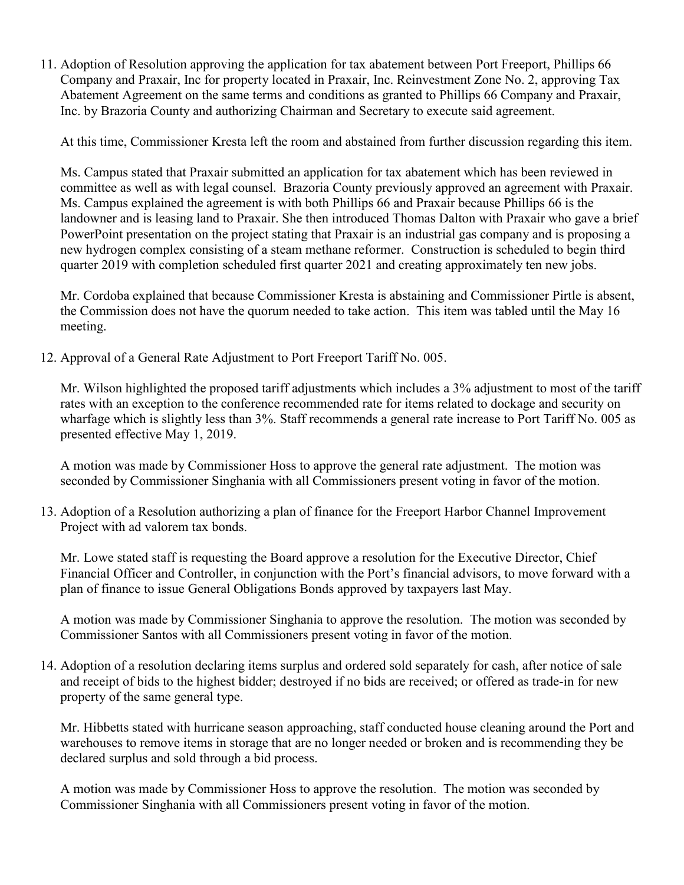11. Adoption of Resolution approving the application for tax abatement between Port Freeport, Phillips 66 Company and Praxair, Inc for property located in Praxair, Inc. Reinvestment Zone No. 2, approving Tax Abatement Agreement on the same terms and conditions as granted to Phillips 66 Company and Praxair, Inc. by Brazoria County and authorizing Chairman and Secretary to execute said agreement.

At this time, Commissioner Kresta left the room and abstained from further discussion regarding this item.

Ms. Campus stated that Praxair submitted an application for tax abatement which has been reviewed in committee as well as with legal counsel. Brazoria County previously approved an agreement with Praxair. Ms. Campus explained the agreement is with both Phillips 66 and Praxair because Phillips 66 is the landowner and is leasing land to Praxair. She then introduced Thomas Dalton with Praxair who gave a brief PowerPoint presentation on the project stating that Praxair is an industrial gas company and is proposing a new hydrogen complex consisting of a steam methane reformer. Construction is scheduled to begin third quarter 2019 with completion scheduled first quarter 2021 and creating approximately ten new jobs.

Mr. Cordoba explained that because Commissioner Kresta is abstaining and Commissioner Pirtle is absent, the Commission does not have the quorum needed to take action. This item was tabled until the May 16 meeting.

12. Approval of a General Rate Adjustment to Port Freeport Tariff No. 005.

Mr. Wilson highlighted the proposed tariff adjustments which includes a 3% adjustment to most of the tariff rates with an exception to the conference recommended rate for items related to dockage and security on wharfage which is slightly less than 3%. Staff recommends a general rate increase to Port Tariff No. 005 as presented effective May 1, 2019.

A motion was made by Commissioner Hoss to approve the general rate adjustment. The motion was seconded by Commissioner Singhania with all Commissioners present voting in favor of the motion.

13. Adoption of a Resolution authorizing a plan of finance for the Freeport Harbor Channel Improvement Project with ad valorem tax bonds.

Mr. Lowe stated staff is requesting the Board approve a resolution for the Executive Director, Chief Financial Officer and Controller, in conjunction with the Port's financial advisors, to move forward with a plan of finance to issue General Obligations Bonds approved by taxpayers last May.

A motion was made by Commissioner Singhania to approve the resolution. The motion was seconded by Commissioner Santos with all Commissioners present voting in favor of the motion.

14. Adoption of a resolution declaring items surplus and ordered sold separately for cash, after notice of sale and receipt of bids to the highest bidder; destroyed if no bids are received; or offered as trade-in for new property of the same general type.

Mr. Hibbetts stated with hurricane season approaching, staff conducted house cleaning around the Port and warehouses to remove items in storage that are no longer needed or broken and is recommending they be declared surplus and sold through a bid process.

A motion was made by Commissioner Hoss to approve the resolution. The motion was seconded by Commissioner Singhania with all Commissioners present voting in favor of the motion.